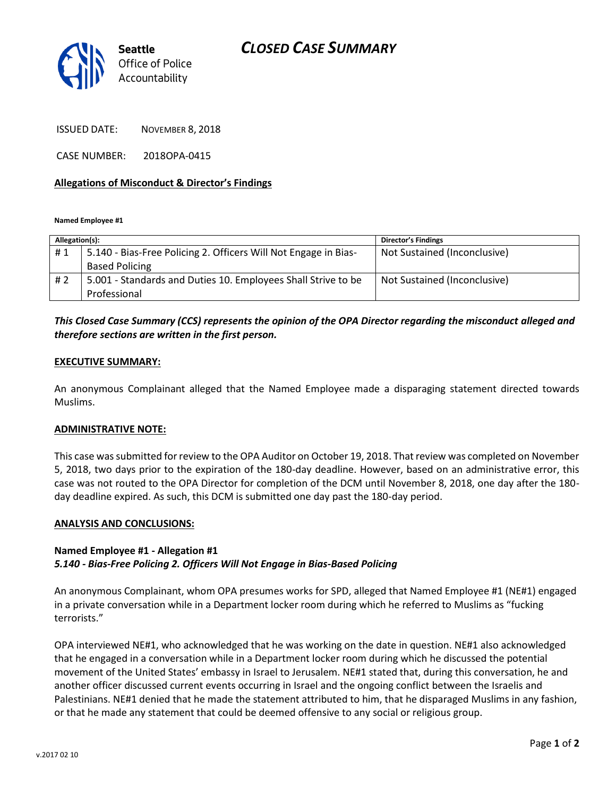# *CLOSED CASE SUMMARY*



ISSUED DATE: NOVEMBER 8, 2018

CASE NUMBER: 2018OPA-0415

### **Allegations of Misconduct & Director's Findings**

**Named Employee #1**

| Allegation(s): |                                                                 | <b>Director's Findings</b>   |
|----------------|-----------------------------------------------------------------|------------------------------|
| #1             | 5.140 - Bias-Free Policing 2. Officers Will Not Engage in Bias- | Not Sustained (Inconclusive) |
|                | <b>Based Policing</b>                                           |                              |
| #2             | 5.001 - Standards and Duties 10. Employees Shall Strive to be   | Not Sustained (Inconclusive) |
|                | Professional                                                    |                              |

## *This Closed Case Summary (CCS) represents the opinion of the OPA Director regarding the misconduct alleged and therefore sections are written in the first person.*

#### **EXECUTIVE SUMMARY:**

An anonymous Complainant alleged that the Named Employee made a disparaging statement directed towards Muslims.

#### **ADMINISTRATIVE NOTE:**

This case was submitted for review to the OPA Auditor on October 19, 2018. That review was completed on November 5, 2018, two days prior to the expiration of the 180-day deadline. However, based on an administrative error, this case was not routed to the OPA Director for completion of the DCM until November 8, 2018, one day after the 180 day deadline expired. As such, this DCM is submitted one day past the 180-day period.

#### **ANALYSIS AND CONCLUSIONS:**

### **Named Employee #1 - Allegation #1** *5.140 - Bias-Free Policing 2. Officers Will Not Engage in Bias-Based Policing*

An anonymous Complainant, whom OPA presumes works for SPD, alleged that Named Employee #1 (NE#1) engaged in a private conversation while in a Department locker room during which he referred to Muslims as "fucking terrorists."

OPA interviewed NE#1, who acknowledged that he was working on the date in question. NE#1 also acknowledged that he engaged in a conversation while in a Department locker room during which he discussed the potential movement of the United States' embassy in Israel to Jerusalem. NE#1 stated that, during this conversation, he and another officer discussed current events occurring in Israel and the ongoing conflict between the Israelis and Palestinians. NE#1 denied that he made the statement attributed to him, that he disparaged Muslims in any fashion, or that he made any statement that could be deemed offensive to any social or religious group.